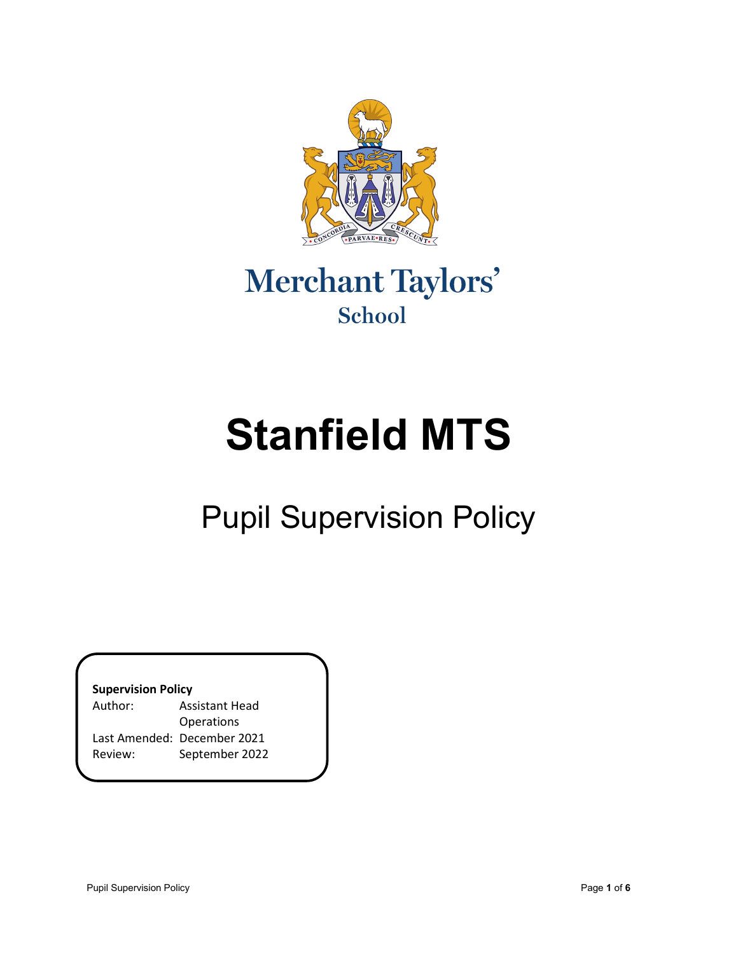

### Merchant Taylors' School

# **Stanfield MTS**

## Pupil Supervision Policy

**Supervision Policy**

| <b>Assistant Head</b>       |
|-----------------------------|
| <b>Operations</b>           |
| Last Amended: December 2021 |
| September 2022              |
|                             |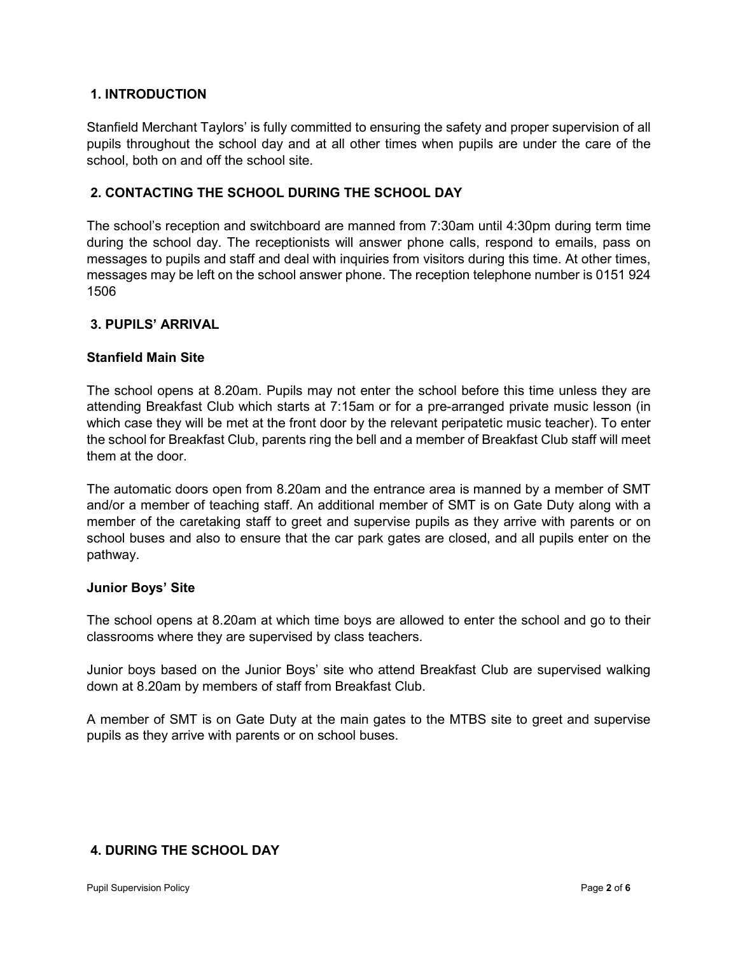#### **1. INTRODUCTION**

Stanfield Merchant Taylors' is fully committed to ensuring the safety and proper supervision of all pupils throughout the school day and at all other times when pupils are under the care of the school, both on and off the school site.

#### **2. CONTACTING THE SCHOOL DURING THE SCHOOL DAY**

The school's reception and switchboard are manned from 7:30am until 4:30pm during term time during the school day. The receptionists will answer phone calls, respond to emails, pass on messages to pupils and staff and deal with inquiries from visitors during this time. At other times, messages may be left on the school answer phone. The reception telephone number is 0151 924 1506

#### **3. PUPILS' ARRIVAL**

#### **Stanfield Main Site**

The school opens at 8.20am. Pupils may not enter the school before this time unless they are attending Breakfast Club which starts at 7:15am or for a pre-arranged private music lesson (in which case they will be met at the front door by the relevant peripatetic music teacher). To enter the school for Breakfast Club, parents ring the bell and a member of Breakfast Club staff will meet them at the door.

The automatic doors open from 8.20am and the entrance area is manned by a member of SMT and/or a member of teaching staff. An additional member of SMT is on Gate Duty along with a member of the caretaking staff to greet and supervise pupils as they arrive with parents or on school buses and also to ensure that the car park gates are closed, and all pupils enter on the pathway.

#### **Junior Boys' Site**

The school opens at 8.20am at which time boys are allowed to enter the school and go to their classrooms where they are supervised by class teachers.

Junior boys based on the Junior Boys' site who attend Breakfast Club are supervised walking down at 8.20am by members of staff from Breakfast Club.

A member of SMT is on Gate Duty at the main gates to the MTBS site to greet and supervise pupils as they arrive with parents or on school buses.

#### **4. DURING THE SCHOOL DAY**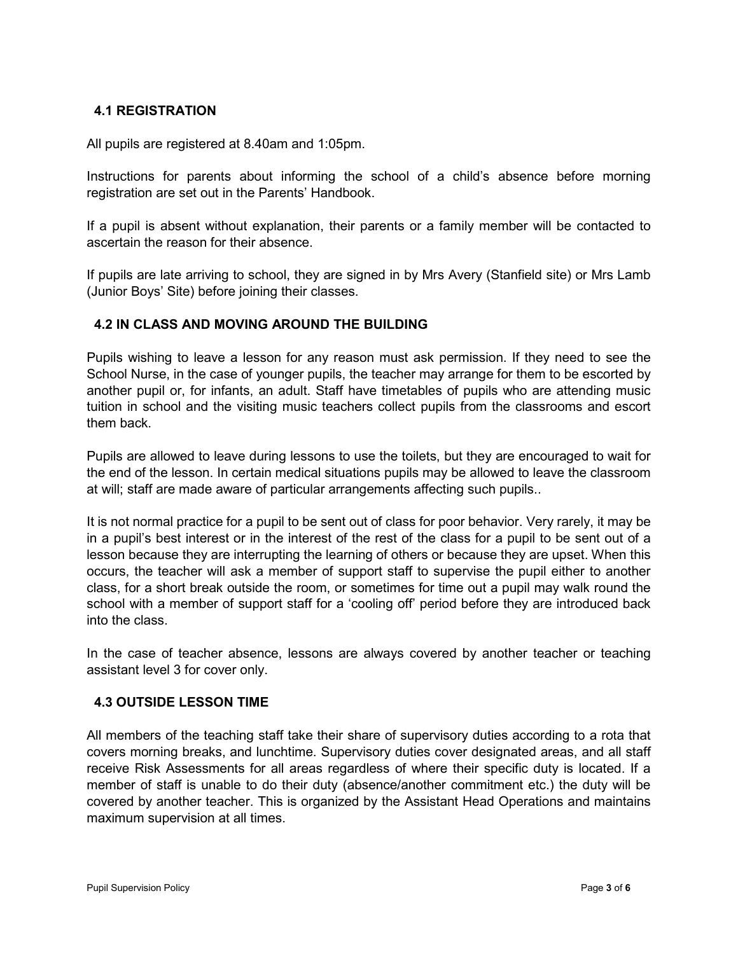#### **4.1 REGISTRATION**

All pupils are registered at 8.40am and 1:05pm.

Instructions for parents about informing the school of a child's absence before morning registration are set out in the Parents' Handbook.

If a pupil is absent without explanation, their parents or a family member will be contacted to ascertain the reason for their absence.

If pupils are late arriving to school, they are signed in by Mrs Avery (Stanfield site) or Mrs Lamb (Junior Boys' Site) before joining their classes.

#### **4.2 IN CLASS AND MOVING AROUND THE BUILDING**

Pupils wishing to leave a lesson for any reason must ask permission. If they need to see the School Nurse, in the case of younger pupils, the teacher may arrange for them to be escorted by another pupil or, for infants, an adult. Staff have timetables of pupils who are attending music tuition in school and the visiting music teachers collect pupils from the classrooms and escort them back.

Pupils are allowed to leave during lessons to use the toilets, but they are encouraged to wait for the end of the lesson. In certain medical situations pupils may be allowed to leave the classroom at will; staff are made aware of particular arrangements affecting such pupils..

It is not normal practice for a pupil to be sent out of class for poor behavior. Very rarely, it may be in a pupil's best interest or in the interest of the rest of the class for a pupil to be sent out of a lesson because they are interrupting the learning of others or because they are upset. When this occurs, the teacher will ask a member of support staff to supervise the pupil either to another class, for a short break outside the room, or sometimes for time out a pupil may walk round the school with a member of support staff for a 'cooling off' period before they are introduced back into the class.

In the case of teacher absence, lessons are always covered by another teacher or teaching assistant level 3 for cover only.

#### **4.3 OUTSIDE LESSON TIME**

All members of the teaching staff take their share of supervisory duties according to a rota that covers morning breaks, and lunchtime. Supervisory duties cover designated areas, and all staff receive Risk Assessments for all areas regardless of where their specific duty is located. If a member of staff is unable to do their duty (absence/another commitment etc.) the duty will be covered by another teacher. This is organized by the Assistant Head Operations and maintains maximum supervision at all times.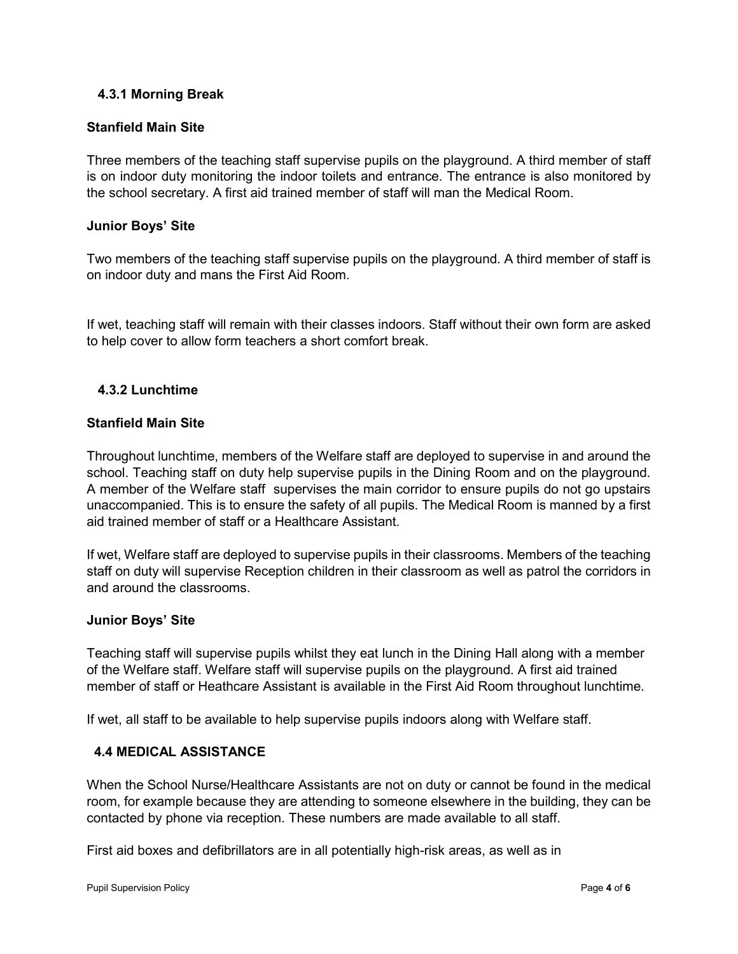#### **4.3.1 Morning Break**

#### **Stanfield Main Site**

Three members of the teaching staff supervise pupils on the playground. A third member of staff is on indoor duty monitoring the indoor toilets and entrance. The entrance is also monitored by the school secretary. A first aid trained member of staff will man the Medical Room.

#### **Junior Boys' Site**

Two members of the teaching staff supervise pupils on the playground. A third member of staff is on indoor duty and mans the First Aid Room.

If wet, teaching staff will remain with their classes indoors. Staff without their own form are asked to help cover to allow form teachers a short comfort break.

#### **4.3.2 Lunchtime**

#### **Stanfield Main Site**

Throughout lunchtime, members of the Welfare staff are deployed to supervise in and around the school. Teaching staff on duty help supervise pupils in the Dining Room and on the playground. A member of the Welfare staff supervises the main corridor to ensure pupils do not go upstairs unaccompanied. This is to ensure the safety of all pupils. The Medical Room is manned by a first aid trained member of staff or a Healthcare Assistant.

If wet, Welfare staff are deployed to supervise pupils in their classrooms. Members of the teaching staff on duty will supervise Reception children in their classroom as well as patrol the corridors in and around the classrooms.

#### **Junior Boys' Site**

Teaching staff will supervise pupils whilst they eat lunch in the Dining Hall along with a member of the Welfare staff. Welfare staff will supervise pupils on the playground. A first aid trained member of staff or Heathcare Assistant is available in the First Aid Room throughout lunchtime.

If wet, all staff to be available to help supervise pupils indoors along with Welfare staff.

#### **4.4 MEDICAL ASSISTANCE**

When the School Nurse/Healthcare Assistants are not on duty or cannot be found in the medical room, for example because they are attending to someone elsewhere in the building, they can be contacted by phone via reception. These numbers are made available to all staff.

First aid boxes and defibrillators are in all potentially high-risk areas, as well as in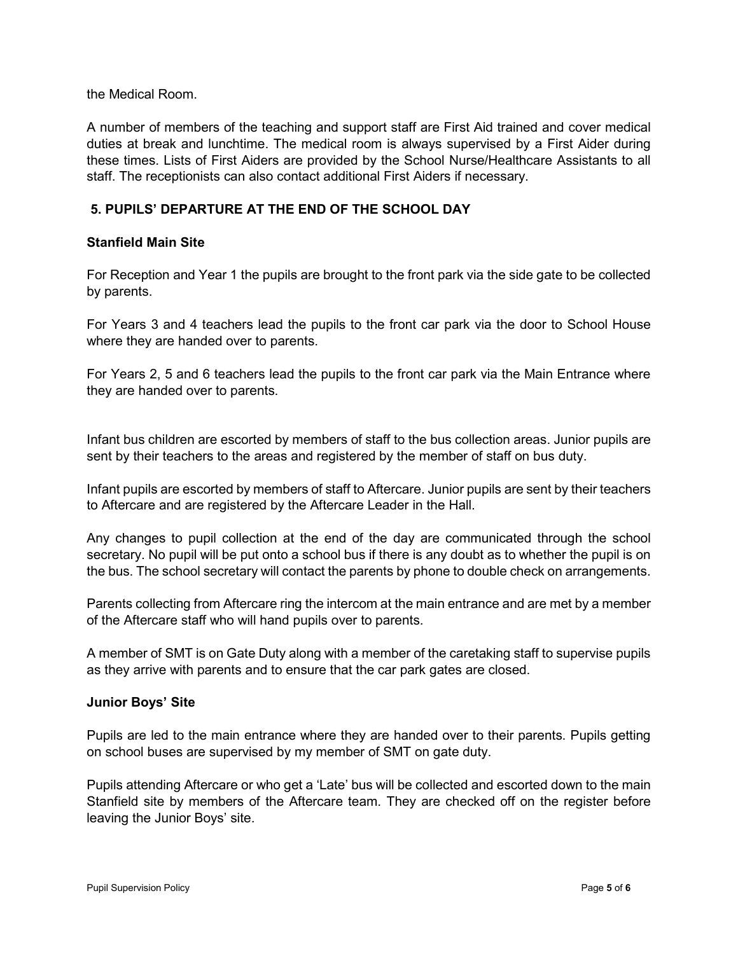the Medical Room.

A number of members of the teaching and support staff are First Aid trained and cover medical duties at break and lunchtime. The medical room is always supervised by a First Aider during these times. Lists of First Aiders are provided by the School Nurse/Healthcare Assistants to all staff. The receptionists can also contact additional First Aiders if necessary.

#### **5. PUPILS' DEPARTURE AT THE END OF THE SCHOOL DAY**

#### **Stanfield Main Site**

For Reception and Year 1 the pupils are brought to the front park via the side gate to be collected by parents.

For Years 3 and 4 teachers lead the pupils to the front car park via the door to School House where they are handed over to parents.

For Years 2, 5 and 6 teachers lead the pupils to the front car park via the Main Entrance where they are handed over to parents.

Infant bus children are escorted by members of staff to the bus collection areas. Junior pupils are sent by their teachers to the areas and registered by the member of staff on bus duty.

Infant pupils are escorted by members of staff to Aftercare. Junior pupils are sent by their teachers to Aftercare and are registered by the Aftercare Leader in the Hall.

Any changes to pupil collection at the end of the day are communicated through the school secretary. No pupil will be put onto a school bus if there is any doubt as to whether the pupil is on the bus. The school secretary will contact the parents by phone to double check on arrangements.

Parents collecting from Aftercare ring the intercom at the main entrance and are met by a member of the Aftercare staff who will hand pupils over to parents.

A member of SMT is on Gate Duty along with a member of the caretaking staff to supervise pupils as they arrive with parents and to ensure that the car park gates are closed.

#### **Junior Boys' Site**

Pupils are led to the main entrance where they are handed over to their parents. Pupils getting on school buses are supervised by my member of SMT on gate duty.

Pupils attending Aftercare or who get a 'Late' bus will be collected and escorted down to the main Stanfield site by members of the Aftercare team. They are checked off on the register before leaving the Junior Boys' site.